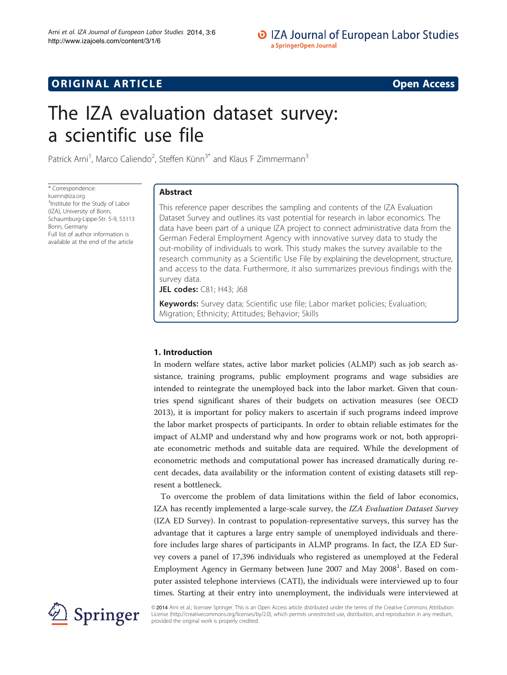## **ORIGINAL ARTICLE CONSUMING A LIGACION** CONSUMING A LIGACION CONSUMING A LIGACION CONSUMING A LIGACION CONSUMING A LIGACION CONSUMING A LIGACION CONSUMING A LIGACION CONSUMING A LIGACION CONSUMING A LIGACION CONSUMING A

# The IZA evaluation dataset survey: a scientific use file

Patrick Arni<sup>1</sup>, Marco Caliendo<sup>2</sup>, Steffen Künn<sup>3\*</sup> and Klaus F Zimmermann<sup>3</sup>

\* Correspondence: [kuenn@iza.org](mailto:kuenn@iza.org) <sup>3</sup>Institute for the Study of Labor (IZA), University of Bonn, Schaumburg-Lippe-Str. 5-9, 53113 Bonn, Germany Full list of author information is available at the end of the article

## Abstract

This reference paper describes the sampling and contents of the IZA Evaluation Dataset Survey and outlines its vast potential for research in labor economics. The data have been part of a unique IZA project to connect administrative data from the German Federal Employment Agency with innovative survey data to study the out-mobility of individuals to work. This study makes the survey available to the research community as a Scientific Use File by explaining the development, structure, and access to the data. Furthermore, it also summarizes previous findings with the survey data.

JEL codes: C81; H43; J68

Keywords: Survey data; Scientific use file; Labor market policies; Evaluation; Migration; Ethnicity; Attitudes; Behavior; Skills

## 1. Introduction

In modern welfare states, active labor market policies (ALMP) such as job search assistance, training programs, public employment programs and wage subsidies are intended to reintegrate the unemployed back into the labor market. Given that countries spend significant shares of their budgets on activation measures (see OECD [2013](#page-19-0)), it is important for policy makers to ascertain if such programs indeed improve the labor market prospects of participants. In order to obtain reliable estimates for the impact of ALMP and understand why and how programs work or not, both appropriate econometric methods and suitable data are required. While the development of econometric methods and computational power has increased dramatically during recent decades, data availability or the information content of existing datasets still represent a bottleneck.

To overcome the problem of data limitations within the field of labor economics, IZA has recently implemented a large-scale survey, the IZA Evaluation Dataset Survey (IZA ED Survey). In contrast to population-representative surveys, this survey has the advantage that it captures a large entry sample of unemployed individuals and therefore includes large shares of participants in ALMP programs. In fact, the IZA ED Survey covers a panel of 17,396 individuals who registered as unemployed at the Federal Employment Agency in Germany between June 2007 and May 2008<sup>1</sup>. Based on computer assisted telephone interviews (CATI), the individuals were interviewed up to four times. Starting at their entry into unemployment, the individuals were interviewed at



© 2014 Arni et al.; licensee Springer. This is an Open Access article distributed under the terms of the Creative Commons Attribution License [\(http://creativecommons.org/licenses/by/2.0\)](http://creativecommons.org/licenses/by/2.0), which permits unrestricted use, distribution, and reproduction in any medium, provided the original work is properly credited.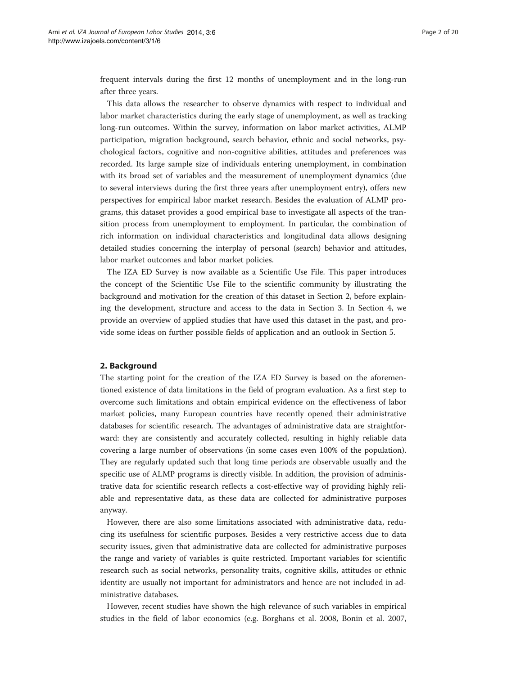frequent intervals during the first 12 months of unemployment and in the long-run after three years.

This data allows the researcher to observe dynamics with respect to individual and labor market characteristics during the early stage of unemployment, as well as tracking long-run outcomes. Within the survey, information on labor market activities, ALMP participation, migration background, search behavior, ethnic and social networks, psychological factors, cognitive and non-cognitive abilities, attitudes and preferences was recorded. Its large sample size of individuals entering unemployment, in combination with its broad set of variables and the measurement of unemployment dynamics (due to several interviews during the first three years after unemployment entry), offers new perspectives for empirical labor market research. Besides the evaluation of ALMP programs, this dataset provides a good empirical base to investigate all aspects of the transition process from unemployment to employment. In particular, the combination of rich information on individual characteristics and longitudinal data allows designing detailed studies concerning the interplay of personal (search) behavior and attitudes, labor market outcomes and labor market policies.

The IZA ED Survey is now available as a Scientific Use File. This paper introduces the concept of the Scientific Use File to the scientific community by illustrating the background and motivation for the creation of this dataset in Section 2, before explaining the development, structure and access to the data in Section [3.](#page-3-0) In Section [4](#page-13-0), we provide an overview of applied studies that have used this dataset in the past, and provide some ideas on further possible fields of application and an outlook in Section [5](#page-16-0).

## 2. Background

The starting point for the creation of the IZA ED Survey is based on the aforementioned existence of data limitations in the field of program evaluation. As a first step to overcome such limitations and obtain empirical evidence on the effectiveness of labor market policies, many European countries have recently opened their administrative databases for scientific research. The advantages of administrative data are straightforward: they are consistently and accurately collected, resulting in highly reliable data covering a large number of observations (in some cases even 100% of the population). They are regularly updated such that long time periods are observable usually and the specific use of ALMP programs is directly visible. In addition, the provision of administrative data for scientific research reflects a cost-effective way of providing highly reliable and representative data, as these data are collected for administrative purposes anyway.

However, there are also some limitations associated with administrative data, reducing its usefulness for scientific purposes. Besides a very restrictive access due to data security issues, given that administrative data are collected for administrative purposes the range and variety of variables is quite restricted. Important variables for scientific research such as social networks, personality traits, cognitive skills, attitudes or ethnic identity are usually not important for administrators and hence are not included in administrative databases.

However, recent studies have shown the high relevance of such variables in empirical studies in the field of labor economics (e.g. Borghans et al. [2008](#page-18-0), Bonin et al. [2007](#page-18-0),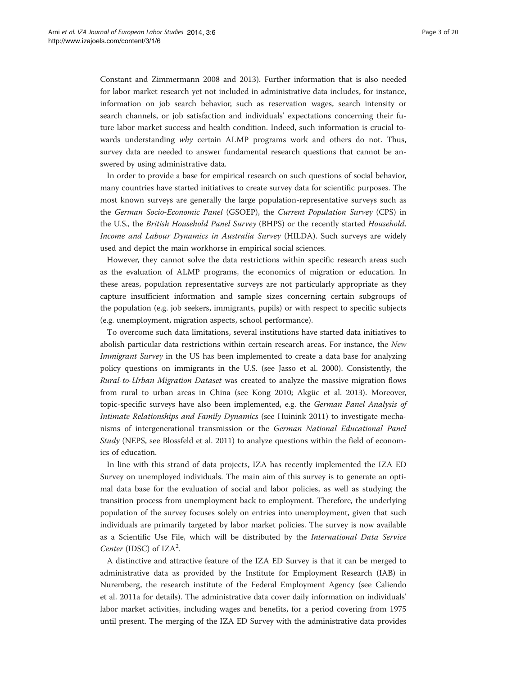Constant and Zimmermann [2008](#page-18-0) and [2013](#page-18-0)). Further information that is also needed for labor market research yet not included in administrative data includes, for instance, information on job search behavior, such as reservation wages, search intensity or search channels, or job satisfaction and individuals' expectations concerning their future labor market success and health condition. Indeed, such information is crucial towards understanding why certain ALMP programs work and others do not. Thus, survey data are needed to answer fundamental research questions that cannot be answered by using administrative data.

In order to provide a base for empirical research on such questions of social behavior, many countries have started initiatives to create survey data for scientific purposes. The most known surveys are generally the large population-representative surveys such as the German Socio-Economic Panel (GSOEP), the Current Population Survey (CPS) in the U.S., the British Household Panel Survey (BHPS) or the recently started Household, Income and Labour Dynamics in Australia Survey (HILDA). Such surveys are widely used and depict the main workhorse in empirical social sciences.

However, they cannot solve the data restrictions within specific research areas such as the evaluation of ALMP programs, the economics of migration or education. In these areas, population representative surveys are not particularly appropriate as they capture insufficient information and sample sizes concerning certain subgroups of the population (e.g. job seekers, immigrants, pupils) or with respect to specific subjects (e.g. unemployment, migration aspects, school performance).

To overcome such data limitations, several institutions have started data initiatives to abolish particular data restrictions within certain research areas. For instance, the New Immigrant Survey in the US has been implemented to create a data base for analyzing policy questions on immigrants in the U.S. (see Jasso et al. [2000\)](#page-18-0). Consistently, the Rural-to-Urban Migration Dataset was created to analyze the massive migration flows from rural to urban areas in China (see Kong [2010](#page-18-0); Akgüc et al. [2013](#page-18-0)). Moreover, topic-specific surveys have also been implemented, e.g. the German Panel Analysis of Intimate Relationships and Family Dynamics (see Huinink [2011\)](#page-18-0) to investigate mechanisms of intergenerational transmission or the German National Educational Panel Study (NEPS, see Blossfeld et al. [2011\)](#page-18-0) to analyze questions within the field of economics of education.

In line with this strand of data projects, IZA has recently implemented the IZA ED Survey on unemployed individuals. The main aim of this survey is to generate an optimal data base for the evaluation of social and labor policies, as well as studying the transition process from unemployment back to employment. Therefore, the underlying population of the survey focuses solely on entries into unemployment, given that such individuals are primarily targeted by labor market policies. The survey is now available as a Scientific Use File, which will be distributed by the International Data Service Center (IDSC) of IZA<sup>2</sup>.

A distinctive and attractive feature of the IZA ED Survey is that it can be merged to administrative data as provided by the Institute for Employment Research (IAB) in Nuremberg, the research institute of the Federal Employment Agency (see Caliendo et al. [2011a](#page-18-0) for details). The administrative data cover daily information on individuals' labor market activities, including wages and benefits, for a period covering from 1975 until present. The merging of the IZA ED Survey with the administrative data provides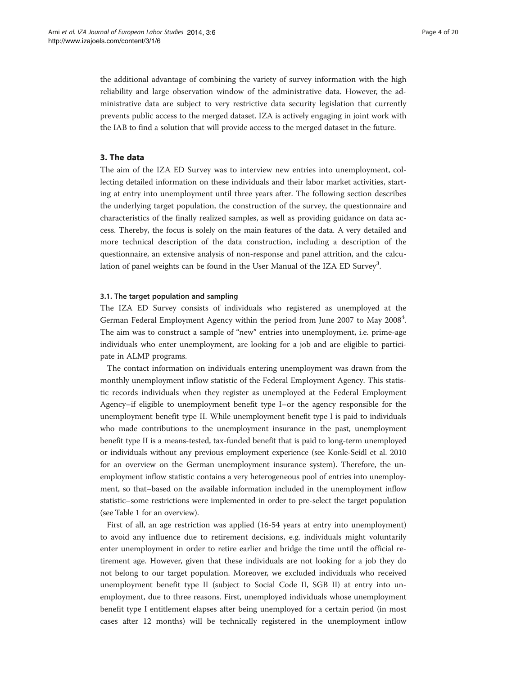<span id="page-3-0"></span>the additional advantage of combining the variety of survey information with the high reliability and large observation window of the administrative data. However, the administrative data are subject to very restrictive data security legislation that currently prevents public access to the merged dataset. IZA is actively engaging in joint work with the IAB to find a solution that will provide access to the merged dataset in the future.

## 3. The data

The aim of the IZA ED Survey was to interview new entries into unemployment, collecting detailed information on these individuals and their labor market activities, starting at entry into unemployment until three years after. The following section describes the underlying target population, the construction of the survey, the questionnaire and characteristics of the finally realized samples, as well as providing guidance on data access. Thereby, the focus is solely on the main features of the data. A very detailed and more technical description of the data construction, including a description of the questionnaire, an extensive analysis of non-response and panel attrition, and the calculation of panel weights can be found in the User Manual of the IZA ED Survey<sup>3</sup>.

#### 3.1. The target population and sampling

The IZA ED Survey consists of individuals who registered as unemployed at the German Federal Employment Agency within the period from June 2007 to May 2008<sup>4</sup>. The aim was to construct a sample of "new" entries into unemployment, i.e. prime-age individuals who enter unemployment, are looking for a job and are eligible to participate in ALMP programs.

The contact information on individuals entering unemployment was drawn from the monthly unemployment inflow statistic of the Federal Employment Agency. This statistic records individuals when they register as unemployed at the Federal Employment Agency–if eligible to unemployment benefit type I–or the agency responsible for the unemployment benefit type II. While unemployment benefit type I is paid to individuals who made contributions to the unemployment insurance in the past, unemployment benefit type II is a means-tested, tax-funded benefit that is paid to long-term unemployed or individuals without any previous employment experience (see Konle-Seidl et al. [2010](#page-18-0) for an overview on the German unemployment insurance system). Therefore, the unemployment inflow statistic contains a very heterogeneous pool of entries into unemployment, so that–based on the available information included in the unemployment inflow statistic–some restrictions were implemented in order to pre-select the target population (see Table [1](#page-4-0) for an overview).

First of all, an age restriction was applied (16-54 years at entry into unemployment) to avoid any influence due to retirement decisions, e.g. individuals might voluntarily enter unemployment in order to retire earlier and bridge the time until the official retirement age. However, given that these individuals are not looking for a job they do not belong to our target population. Moreover, we excluded individuals who received unemployment benefit type II (subject to Social Code II, SGB II) at entry into unemployment, due to three reasons. First, unemployed individuals whose unemployment benefit type I entitlement elapses after being unemployed for a certain period (in most cases after 12 months) will be technically registered in the unemployment inflow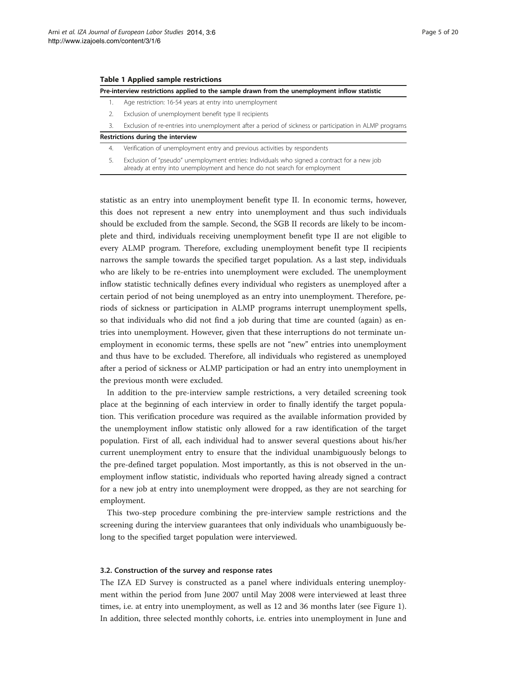<span id="page-4-0"></span>Pre-interview restrictions applied to the sample drawn from the unemployment inflow statistic

- 1. Age restriction: 16-54 years at entry into unemployment
- 2. Exclusion of unemployment benefit type II recipients
- 3. Exclusion of re-entries into unemployment after a period of sickness or participation in ALMP programs

## Restrictions during the interview

- 4. Verification of unemployment entry and previous activities by respondents
- 5. Exclusion of "pseudo" unemployment entries: Individuals who signed a contract for a new job already at entry into unemployment and hence do not search for employment

statistic as an entry into unemployment benefit type II. In economic terms, however, this does not represent a new entry into unemployment and thus such individuals should be excluded from the sample. Second, the SGB II records are likely to be incomplete and third, individuals receiving unemployment benefit type II are not eligible to every ALMP program. Therefore, excluding unemployment benefit type II recipients narrows the sample towards the specified target population. As a last step, individuals who are likely to be re-entries into unemployment were excluded. The unemployment inflow statistic technically defines every individual who registers as unemployed after a certain period of not being unemployed as an entry into unemployment. Therefore, periods of sickness or participation in ALMP programs interrupt unemployment spells, so that individuals who did not find a job during that time are counted (again) as entries into unemployment. However, given that these interruptions do not terminate unemployment in economic terms, these spells are not "new" entries into unemployment and thus have to be excluded. Therefore, all individuals who registered as unemployed after a period of sickness or ALMP participation or had an entry into unemployment in the previous month were excluded.

In addition to the pre-interview sample restrictions, a very detailed screening took place at the beginning of each interview in order to finally identify the target population. This verification procedure was required as the available information provided by the unemployment inflow statistic only allowed for a raw identification of the target population. First of all, each individual had to answer several questions about his/her current unemployment entry to ensure that the individual unambiguously belongs to the pre-defined target population. Most importantly, as this is not observed in the unemployment inflow statistic, individuals who reported having already signed a contract for a new job at entry into unemployment were dropped, as they are not searching for employment.

This two-step procedure combining the pre-interview sample restrictions and the screening during the interview guarantees that only individuals who unambiguously belong to the specified target population were interviewed.

#### 3.2. Construction of the survey and response rates

The IZA ED Survey is constructed as a panel where individuals entering unemployment within the period from June 2007 until May 2008 were interviewed at least three times, i.e. at entry into unemployment, as well as 12 and 36 months later (see Figure [1](#page-5-0)). In addition, three selected monthly cohorts, i.e. entries into unemployment in June and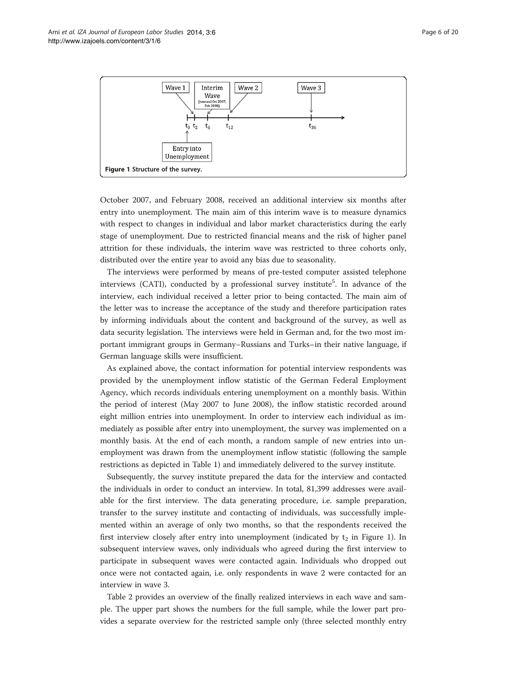

<span id="page-5-0"></span>

October 2007, and February 2008, received an additional interview six months after entry into unemployment. The main aim of this interim wave is to measure dynamics with respect to changes in individual and labor market characteristics during the early stage of unemployment. Due to restricted financial means and the risk of higher panel attrition for these individuals, the interim wave was restricted to three cohorts only, distributed over the entire year to avoid any bias due to seasonality.

The interviews were performed by means of pre-tested computer assisted telephone interviews (CATI), conducted by a professional survey institute<sup>5</sup>. In advance of the interview, each individual received a letter prior to being contacted. The main aim of the letter was to increase the acceptance of the study and therefore participation rates by informing individuals about the content and background of the survey, as well as data security legislation. The interviews were held in German and, for the two most important immigrant groups in Germany–Russians and Turks–in their native language, if German language skills were insufficient.

As explained above, the contact information for potential interview respondents was provided by the unemployment inflow statistic of the German Federal Employment Agency, which records individuals entering unemployment on a monthly basis. Within the period of interest (May 2007 to June 2008), the inflow statistic recorded around eight million entries into unemployment. In order to interview each individual as immediately as possible after entry into unemployment, the survey was implemented on a monthly basis. At the end of each month, a random sample of new entries into unemployment was drawn from the unemployment inflow statistic (following the sample restrictions as depicted in Table [1\)](#page-4-0) and immediately delivered to the survey institute.

Subsequently, the survey institute prepared the data for the interview and contacted the individuals in order to conduct an interview. In total, 81,399 addresses were available for the first interview. The data generating procedure, i.e. sample preparation, transfer to the survey institute and contacting of individuals, was successfully implemented within an average of only two months, so that the respondents received the first interview closely after entry into unemployment (indicated by  $t_2$  in Figure 1). In subsequent interview waves, only individuals who agreed during the first interview to participate in subsequent waves were contacted again. Individuals who dropped out once were not contacted again, i.e. only respondents in wave 2 were contacted for an interview in wave 3.

Table [2](#page-6-0) provides an overview of the finally realized interviews in each wave and sample. The upper part shows the numbers for the full sample, while the lower part provides a separate overview for the restricted sample only (three selected monthly entry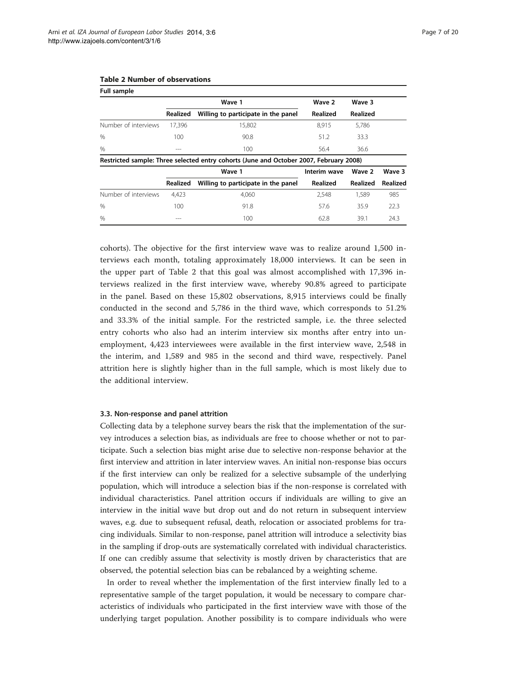| Full sample          |          |                                                                                        |              |          |          |
|----------------------|----------|----------------------------------------------------------------------------------------|--------------|----------|----------|
|                      |          | Wave 1                                                                                 | Wave 2       | Wave 3   |          |
|                      | Realized | Willing to participate in the panel                                                    | Realized     | Realized |          |
| Number of interviews | 17,396   | 15,802                                                                                 | 8.915        | 5,786    |          |
| $\%$                 | 100      | 90.8                                                                                   | 51.2         | 33.3     |          |
| $\%$                 | ---      | 100                                                                                    | 56.4         | 36.6     |          |
|                      |          | Restricted sample: Three selected entry cohorts (June and October 2007, February 2008) |              |          |          |
|                      |          | Wave 1                                                                                 | Interim wave | Wave 2   | Wave 3   |
|                      | Realized | Willing to participate in the panel                                                    | Realized     | Realized | Realized |
| Number of interviews | 4.423    | 4.060                                                                                  | 2,548        | 1,589    | 985      |
| $\%$                 | 100      | 91.8                                                                                   | 57.6         | 35.9     | 22.3     |
| $\%$                 | ---      | 100                                                                                    | 62.8         | 39.1     | 24.3     |

#### <span id="page-6-0"></span>Table 2 Number of observations

cohorts). The objective for the first interview wave was to realize around 1,500 interviews each month, totaling approximately 18,000 interviews. It can be seen in the upper part of Table 2 that this goal was almost accomplished with 17,396 interviews realized in the first interview wave, whereby 90.8% agreed to participate in the panel. Based on these 15,802 observations, 8,915 interviews could be finally conducted in the second and 5,786 in the third wave, which corresponds to 51.2% and 33.3% of the initial sample. For the restricted sample, i.e. the three selected entry cohorts who also had an interim interview six months after entry into unemployment, 4,423 interviewees were available in the first interview wave, 2,548 in the interim, and 1,589 and 985 in the second and third wave, respectively. Panel attrition here is slightly higher than in the full sample, which is most likely due to the additional interview.

## 3.3. Non-response and panel attrition

Collecting data by a telephone survey bears the risk that the implementation of the survey introduces a selection bias, as individuals are free to choose whether or not to participate. Such a selection bias might arise due to selective non-response behavior at the first interview and attrition in later interview waves. An initial non-response bias occurs if the first interview can only be realized for a selective subsample of the underlying population, which will introduce a selection bias if the non-response is correlated with individual characteristics. Panel attrition occurs if individuals are willing to give an interview in the initial wave but drop out and do not return in subsequent interview waves, e.g. due to subsequent refusal, death, relocation or associated problems for tracing individuals. Similar to non-response, panel attrition will introduce a selectivity bias in the sampling if drop-outs are systematically correlated with individual characteristics. If one can credibly assume that selectivity is mostly driven by characteristics that are observed, the potential selection bias can be rebalanced by a weighting scheme.

In order to reveal whether the implementation of the first interview finally led to a representative sample of the target population, it would be necessary to compare characteristics of individuals who participated in the first interview wave with those of the underlying target population. Another possibility is to compare individuals who were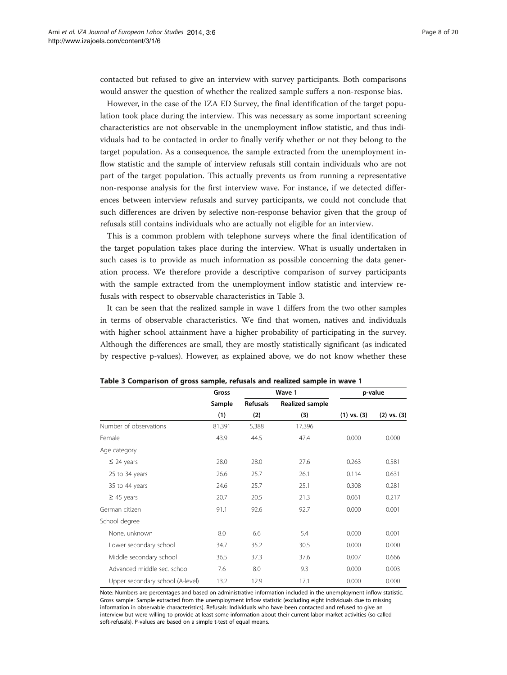contacted but refused to give an interview with survey participants. Both comparisons would answer the question of whether the realized sample suffers a non-response bias.

However, in the case of the IZA ED Survey, the final identification of the target population took place during the interview. This was necessary as some important screening characteristics are not observable in the unemployment inflow statistic, and thus individuals had to be contacted in order to finally verify whether or not they belong to the target population. As a consequence, the sample extracted from the unemployment inflow statistic and the sample of interview refusals still contain individuals who are not part of the target population. This actually prevents us from running a representative non-response analysis for the first interview wave. For instance, if we detected differences between interview refusals and survey participants, we could not conclude that such differences are driven by selective non-response behavior given that the group of refusals still contains individuals who are actually not eligible for an interview.

This is a common problem with telephone surveys where the final identification of the target population takes place during the interview. What is usually undertaken in such cases is to provide as much information as possible concerning the data generation process. We therefore provide a descriptive comparison of survey participants with the sample extracted from the unemployment inflow statistic and interview refusals with respect to observable characteristics in Table 3.

It can be seen that the realized sample in wave 1 differs from the two other samples in terms of observable characteristics. We find that women, natives and individuals with higher school attainment have a higher probability of participating in the survey. Although the differences are small, they are mostly statistically significant (as indicated by respective p-values). However, as explained above, we do not know whether these

|                                  | Gross  |                 | Wave 1          |                 | p-value         |  |
|----------------------------------|--------|-----------------|-----------------|-----------------|-----------------|--|
|                                  | Sample | <b>Refusals</b> | Realized sample |                 |                 |  |
|                                  | (1)    | (2)             | (3)             | $(1)$ vs. $(3)$ | $(2)$ vs. $(3)$ |  |
| Number of observations           | 81,391 | 5,388           | 17,396          |                 |                 |  |
| Female                           | 43.9   | 44.5            | 47.4            | 0.000           | 0.000           |  |
| Age category                     |        |                 |                 |                 |                 |  |
| $\leq$ 24 years                  | 28.0   | 28.0            | 27.6            | 0.263           | 0.581           |  |
| 25 to 34 years                   | 26.6   | 25.7            | 26.1            | 0.114           | 0.631           |  |
| 35 to 44 years                   | 24.6   | 25.7            | 25.1            | 0.308           | 0.281           |  |
| $\geq$ 45 years                  | 20.7   | 20.5            | 21.3            | 0.061           | 0.217           |  |
| German citizen                   | 91.1   | 92.6            | 92.7            | 0.000           | 0.001           |  |
| School degree                    |        |                 |                 |                 |                 |  |
| None, unknown                    | 8.0    | 6.6             | 5.4             | 0.000           | 0.001           |  |
| Lower secondary school           | 34.7   | 35.2            | 30.5            | 0.000           | 0.000           |  |
| Middle secondary school          | 36.5   | 37.3            | 37.6            | 0.007           | 0.666           |  |
| Advanced middle sec. school      | 7.6    | 8.0             | 9.3             | 0.000           | 0.003           |  |
| Upper secondary school (A-level) | 13.2   | 12.9            | 17.1            | 0.000           | 0.000           |  |

Note: Numbers are percentages and based on administrative information included in the unemployment inflow statistic. Gross sample: Sample extracted from the unemployment inflow statistic (excluding eight individuals due to missing information in observable characteristics). Refusals: Individuals who have been contacted and refused to give an interview but were willing to provide at least some information about their current labor market activities (so-called soft-refusals). P-values are based on a simple t-test of equal means.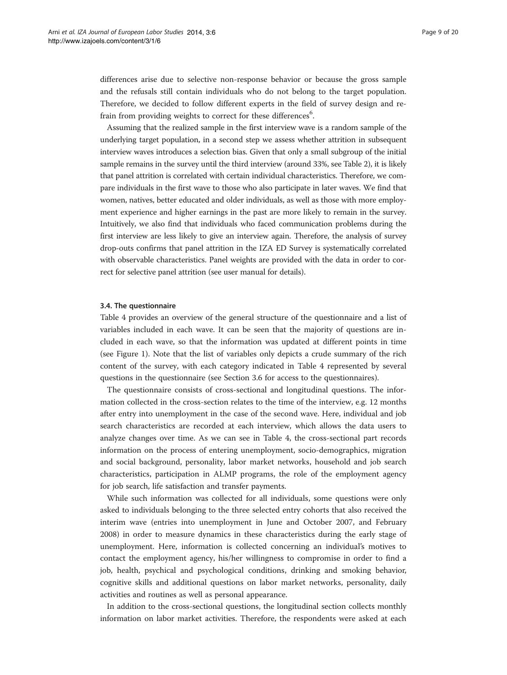differences arise due to selective non-response behavior or because the gross sample and the refusals still contain individuals who do not belong to the target population. Therefore, we decided to follow different experts in the field of survey design and refrain from providing weights to correct for these differences<sup>6</sup>.

Assuming that the realized sample in the first interview wave is a random sample of the underlying target population, in a second step we assess whether attrition in subsequent interview waves introduces a selection bias. Given that only a small subgroup of the initial sample remains in the survey until the third interview (around 33%, see Table [2](#page-6-0)), it is likely that panel attrition is correlated with certain individual characteristics. Therefore, we compare individuals in the first wave to those who also participate in later waves. We find that women, natives, better educated and older individuals, as well as those with more employment experience and higher earnings in the past are more likely to remain in the survey. Intuitively, we also find that individuals who faced communication problems during the first interview are less likely to give an interview again. Therefore, the analysis of survey drop-outs confirms that panel attrition in the IZA ED Survey is systematically correlated with observable characteristics. Panel weights are provided with the data in order to correct for selective panel attrition (see user manual for details).

## 3.4. The questionnaire

Table [4](#page-9-0) provides an overview of the general structure of the questionnaire and a list of variables included in each wave. It can be seen that the majority of questions are included in each wave, so that the information was updated at different points in time (see Figure [1\)](#page-5-0). Note that the list of variables only depicts a crude summary of the rich content of the survey, with each category indicated in Table [4](#page-9-0) represented by several questions in the questionnaire (see Section [3.6](#page-13-0) for access to the questionnaires).

The questionnaire consists of cross-sectional and longitudinal questions. The information collected in the cross-section relates to the time of the interview, e.g. 12 months after entry into unemployment in the case of the second wave. Here, individual and job search characteristics are recorded at each interview, which allows the data users to analyze changes over time. As we can see in Table [4](#page-9-0), the cross-sectional part records information on the process of entering unemployment, socio-demographics, migration and social background, personality, labor market networks, household and job search characteristics, participation in ALMP programs, the role of the employment agency for job search, life satisfaction and transfer payments.

While such information was collected for all individuals, some questions were only asked to individuals belonging to the three selected entry cohorts that also received the interim wave (entries into unemployment in June and October 2007, and February 2008) in order to measure dynamics in these characteristics during the early stage of unemployment. Here, information is collected concerning an individual's motives to contact the employment agency, his/her willingness to compromise in order to find a job, health, psychical and psychological conditions, drinking and smoking behavior, cognitive skills and additional questions on labor market networks, personality, daily activities and routines as well as personal appearance.

In addition to the cross-sectional questions, the longitudinal section collects monthly information on labor market activities. Therefore, the respondents were asked at each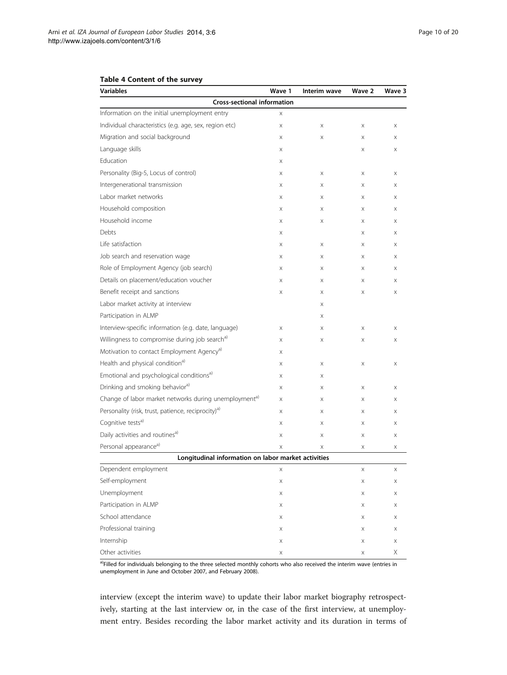## <span id="page-9-0"></span>Table 4 Content of the survey

| <b>Variables</b>                                                  | Wave 1                    | Interim wave | Wave 2 | Wave 3 |
|-------------------------------------------------------------------|---------------------------|--------------|--------|--------|
| <b>Cross-sectional information</b>                                |                           |              |        |        |
| Information on the initial unemployment entry                     | X                         |              |        |        |
| Individual characteristics (e.g. age, sex, region etc)            | X                         | X            | X      | X      |
| Migration and social background                                   | X                         | X            | X      | X      |
| Language skills                                                   | X                         |              | X      | X      |
| Education                                                         | X                         |              |        |        |
| Personality (Big-5, Locus of control)                             | X                         | X            | X      | X      |
| Intergenerational transmission                                    | X                         | X            | X      | X      |
| Labor market networks                                             | X                         | X            | X      | X      |
| Household composition                                             | X                         | X            | X      | X      |
| Household income                                                  | Χ                         | X            | X      | Χ      |
| Debts                                                             | X                         |              | X      | X      |
| Life satisfaction                                                 | X                         | X            | X      | X      |
| Job search and reservation wage                                   | X                         | Χ            | X      | Χ      |
| Role of Employment Agency (job search)                            | X                         | X            | X      | X      |
| Details on placement/education voucher                            | X                         | X            | X      | X      |
| Benefit receipt and sanctions                                     | X                         | X            | X      | X      |
| Labor market activity at interview                                |                           | X            |        |        |
| Participation in ALMP                                             |                           | X            |        |        |
| Interview-specific information (e.g. date, language)              | X                         | Χ            | X      | X      |
| Willingness to compromise during job search <sup>a)</sup>         | X                         | X            | X      | X      |
| Motivation to contact Employment Agency <sup>a)</sup>             | X                         |              |        |        |
| Health and physical condition <sup>a)</sup>                       | Χ                         | Χ            | X      | X      |
| Emotional and psychological conditions <sup>a)</sup>              | X                         | X            |        |        |
| Drinking and smoking behavior <sup>a)</sup>                       | X                         | X            | X      | X      |
| Change of labor market networks during unemployment <sup>a)</sup> | X                         | Χ            | X      | Χ      |
| Personality (risk, trust, patience, reciprocity) <sup>a)</sup>    | X                         | X            | X      | X      |
| Cognitive tests <sup>a)</sup>                                     | X                         | X            | X      | X      |
| Daily activities and routines <sup>a)</sup>                       | Χ                         | Χ            | X      | X      |
| Personal appearance <sup>a)</sup>                                 | X                         | X            | Χ      | X      |
| Longitudinal information on labor market activities               |                           |              |        |        |
| Dependent employment                                              | Χ                         |              | X      | Χ      |
| Self-employment                                                   | X                         |              | X      | X      |
| Unemployment                                                      | X                         |              | X      | Χ      |
| Participation in ALMP                                             | X                         |              | X      | Χ      |
| School attendance                                                 | X                         |              | X      | X      |
| Professional training                                             | X                         |              | X      | X      |
| Internship                                                        | $\boldsymbol{\mathsf{X}}$ |              | X      | X      |
| Other activities                                                  | X                         |              | X      | X.     |

a)Filled for individuals belonging to the three selected monthly cohorts who also received the interim wave (entries in unemployment in June and October 2007, and February 2008).

interview (except the interim wave) to update their labor market biography retrospectively, starting at the last interview or, in the case of the first interview, at unemployment entry. Besides recording the labor market activity and its duration in terms of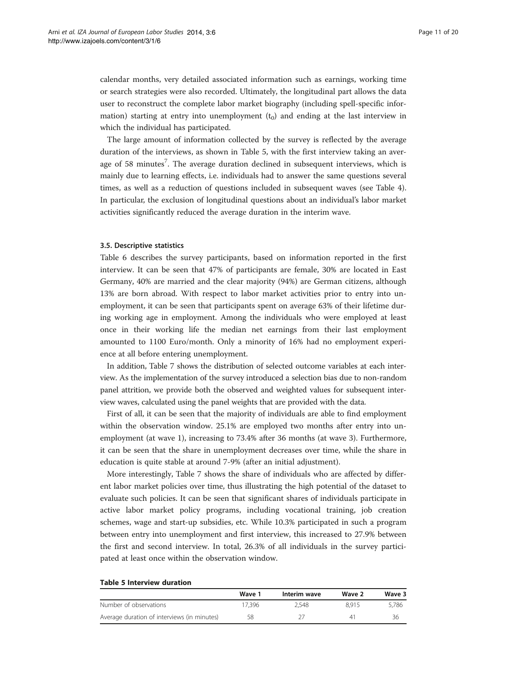calendar months, very detailed associated information such as earnings, working time or search strategies were also recorded. Ultimately, the longitudinal part allows the data user to reconstruct the complete labor market biography (including spell-specific information) starting at entry into unemployment  $(t_0)$  and ending at the last interview in which the individual has participated.

The large amount of information collected by the survey is reflected by the average duration of the interviews, as shown in Table 5, with the first interview taking an average of 58 minutes<sup>7</sup>. The average duration declined in subsequent interviews, which is mainly due to learning effects, i.e. individuals had to answer the same questions several times, as well as a reduction of questions included in subsequent waves (see Table [4](#page-9-0)). In particular, the exclusion of longitudinal questions about an individual's labor market activities significantly reduced the average duration in the interim wave.

#### 3.5. Descriptive statistics

Table [6](#page-11-0) describes the survey participants, based on information reported in the first interview. It can be seen that 47% of participants are female, 30% are located in East Germany, 40% are married and the clear majority (94%) are German citizens, although 13% are born abroad. With respect to labor market activities prior to entry into unemployment, it can be seen that participants spent on average 63% of their lifetime during working age in employment. Among the individuals who were employed at least once in their working life the median net earnings from their last employment amounted to 1100 Euro/month. Only a minority of 16% had no employment experience at all before entering unemployment.

In addition, Table [7](#page-12-0) shows the distribution of selected outcome variables at each interview. As the implementation of the survey introduced a selection bias due to non-random panel attrition, we provide both the observed and weighted values for subsequent interview waves, calculated using the panel weights that are provided with the data.

First of all, it can be seen that the majority of individuals are able to find employment within the observation window. 25.1% are employed two months after entry into unemployment (at wave 1), increasing to 73.4% after 36 months (at wave 3). Furthermore, it can be seen that the share in unemployment decreases over time, while the share in education is quite stable at around 7-9% (after an initial adjustment).

More interestingly, Table [7](#page-12-0) shows the share of individuals who are affected by different labor market policies over time, thus illustrating the high potential of the dataset to evaluate such policies. It can be seen that significant shares of individuals participate in active labor market policy programs, including vocational training, job creation schemes, wage and start-up subsidies, etc. While 10.3% participated in such a program between entry into unemployment and first interview, this increased to 27.9% between the first and second interview. In total, 26.3% of all individuals in the survey participated at least once within the observation window.

|                                             | Wave 1 | Interim wave | Wave 2 | Wave 3 |
|---------------------------------------------|--------|--------------|--------|--------|
| Number of observations                      | 17.396 | 2.548        | 8.915  | 5.786  |
| Average duration of interviews (in minutes) | 58     |              | 41     | 36     |

## Table 5 Interview duration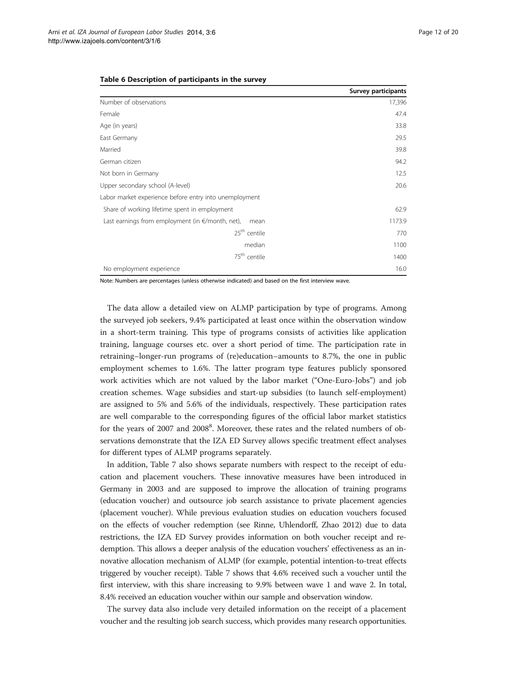#### <span id="page-11-0"></span>Table 6 Description of participants in the survey

|                                                                    | <b>Survey participants</b> |
|--------------------------------------------------------------------|----------------------------|
| Number of observations                                             | 17,396                     |
| Female                                                             | 47.4                       |
| Age (in years)                                                     | 33.8                       |
| East Germany                                                       | 29.5                       |
| Married                                                            | 39.8                       |
| German citizen                                                     | 94.2                       |
| Not born in Germany                                                | 12.5                       |
| Upper secondary school (A-level)                                   | 20.6                       |
| Labor market experience before entry into unemployment             |                            |
| Share of working lifetime spent in employment                      | 62.9                       |
| Last earnings from employment (in $\epsilon$ /month, net),<br>mean | 1173.9                     |
| 25 <sup>th</sup> centile                                           | 770                        |
| median                                                             | 1100                       |
| 75 <sup>th</sup> centile                                           | 1400                       |
| No employment experience                                           | 16.0                       |

Note: Numbers are percentages (unless otherwise indicated) and based on the first interview wave.

The data allow a detailed view on ALMP participation by type of programs. Among the surveyed job seekers, 9.4% participated at least once within the observation window in a short-term training. This type of programs consists of activities like application training, language courses etc. over a short period of time. The participation rate in retraining–longer-run programs of (re)education–amounts to 8.7%, the one in public employment schemes to 1.6%. The latter program type features publicly sponsored work activities which are not valued by the labor market ("One-Euro-Jobs") and job creation schemes. Wage subsidies and start-up subsidies (to launch self-employment) are assigned to 5% and 5.6% of the individuals, respectively. These participation rates are well comparable to the corresponding figures of the official labor market statistics for the years of 2007 and 2008<sup>8</sup>. Moreover, these rates and the related numbers of observations demonstrate that the IZA ED Survey allows specific treatment effect analyses for different types of ALMP programs separately.

In addition, Table [7](#page-12-0) also shows separate numbers with respect to the receipt of education and placement vouchers. These innovative measures have been introduced in Germany in 2003 and are supposed to improve the allocation of training programs (education voucher) and outsource job search assistance to private placement agencies (placement voucher). While previous evaluation studies on education vouchers focused on the effects of voucher redemption (see Rinne, Uhlendorff, Zhao [2012\)](#page-19-0) due to data restrictions, the IZA ED Survey provides information on both voucher receipt and redemption. This allows a deeper analysis of the education vouchers' effectiveness as an innovative allocation mechanism of ALMP (for example, potential intention-to-treat effects triggered by voucher receipt). Table [7](#page-12-0) shows that 4.6% received such a voucher until the first interview, with this share increasing to 9.9% between wave 1 and wave 2. In total, 8.4% received an education voucher within our sample and observation window.

The survey data also include very detailed information on the receipt of a placement voucher and the resulting job search success, which provides many research opportunities.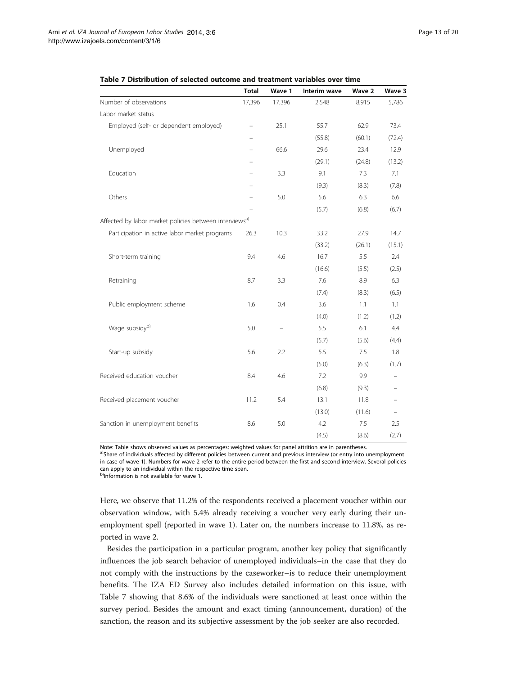|                                                                    | <b>Total</b>                   | Wave 1 | Interim wave | Wave 2 | Wave 3 |
|--------------------------------------------------------------------|--------------------------------|--------|--------------|--------|--------|
| Number of observations                                             | 17,396                         | 17,396 | 2,548        | 8,915  | 5,786  |
| Labor market status                                                |                                |        |              |        |        |
| Employed (self- or dependent employed)                             | $\qquad \qquad -$              | 25.1   | 55.7         | 62.9   | 73.4   |
|                                                                    |                                |        | (55.8)       | (60.1) | (72.4) |
| Unemployed                                                         | $\equiv$                       | 66.6   | 29.6         | 23.4   | 12.9   |
|                                                                    |                                |        | (29.1)       | (24.8) | (13.2) |
| Education                                                          |                                | 3.3    | 9.1          | 7.3    | 7.1    |
|                                                                    |                                |        | (9.3)        | (8.3)  | (7.8)  |
| Others                                                             |                                | 5.0    | 5.6          | 6.3    | 6.6    |
|                                                                    | $\qquad \qquad \longleftarrow$ |        | (5.7)        | (6.8)  | (6.7)  |
| Affected by labor market policies between interviews <sup>a)</sup> |                                |        |              |        |        |
| Participation in active labor market programs                      | 26.3                           | 10.3   | 33.2         | 27.9   | 14.7   |
|                                                                    |                                |        | (33.2)       | (26.1) | (15.1) |
| Short-term training                                                | 9.4                            | 4.6    | 16.7         | 5.5    | 2.4    |
|                                                                    |                                |        | (16.6)       | (5.5)  | (2.5)  |
| Retraining                                                         | 8.7                            | 3.3    | 7.6          | 8.9    | 6.3    |
|                                                                    |                                |        | (7.4)        | (8.3)  | (6.5)  |
| Public employment scheme                                           | 1.6                            | 0.4    | 3.6          | 1.1    | 1.1    |
|                                                                    |                                |        | (4.0)        | (1.2)  | (1.2)  |
| Wage subsidyb)                                                     | 5.0                            |        | 5.5          | 6.1    | 4.4    |
|                                                                    |                                |        | (5.7)        | (5.6)  | (4.4)  |
| Start-up subsidy                                                   | 5.6                            | 2.2    | 5.5          | 7.5    | 1.8    |
|                                                                    |                                |        | (5.0)        | (6.3)  | (1.7)  |
| Received education voucher                                         | 8.4                            | 4.6    | 7.2          | 9.9    |        |
|                                                                    |                                |        | (6.8)        | (9.3)  |        |
| Received placement voucher                                         | 11.2                           | 5.4    | 13.1         | 11.8   |        |
|                                                                    |                                |        | (13.0)       | (11.6) |        |
| Sanction in unemployment benefits                                  | 8.6                            | 5.0    | 4.2          | 7.5    | 2.5    |
|                                                                    |                                |        | (4.5)        | (8.6)  | (2.7)  |

#### <span id="page-12-0"></span>Table 7 Distribution of selected outcome and treatment variables over time

Note: Table shows observed values as percentages; weighted values for panel attrition are in parentheses.

a)Share of individuals affected by different policies between current and previous interview (or entry into unemployment in case of wave 1). Numbers for wave 2 refer to the entire period between the first and second interview. Several policies can apply to an individual within the respective time span.<br><sup>b)</sup>Information is not available for wave 1.

Here, we observe that 11.2% of the respondents received a placement voucher within our observation window, with 5.4% already receiving a voucher very early during their unemployment spell (reported in wave 1). Later on, the numbers increase to 11.8%, as reported in wave 2.

Besides the participation in a particular program, another key policy that significantly influences the job search behavior of unemployed individuals–in the case that they do not comply with the instructions by the caseworker–is to reduce their unemployment benefits. The IZA ED Survey also includes detailed information on this issue, with Table 7 showing that 8.6% of the individuals were sanctioned at least once within the survey period. Besides the amount and exact timing (announcement, duration) of the sanction, the reason and its subjective assessment by the job seeker are also recorded.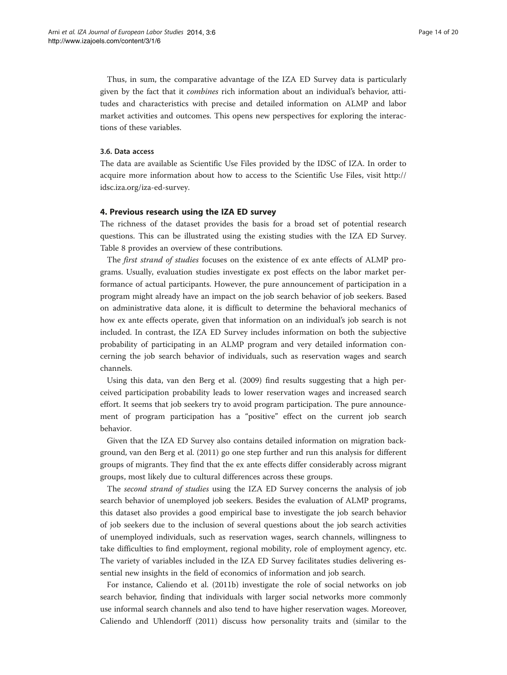<span id="page-13-0"></span>Thus, in sum, the comparative advantage of the IZA ED Survey data is particularly given by the fact that it combines rich information about an individual's behavior, attitudes and characteristics with precise and detailed information on ALMP and labor market activities and outcomes. This opens new perspectives for exploring the interactions of these variables.

## 3.6. Data access

The data are available as Scientific Use Files provided by the IDSC of IZA. In order to acquire more information about how to access to the Scientific Use Files, visit [http://](http://idsc.iza.org/iza-ed-survey) [idsc.iza.org/iza-ed-survey.](http://idsc.iza.org/iza-ed-survey)

## 4. Previous research using the IZA ED survey

The richness of the dataset provides the basis for a broad set of potential research questions. This can be illustrated using the existing studies with the IZA ED Survey. Table [8](#page-14-0) provides an overview of these contributions.

The first strand of studies focuses on the existence of ex ante effects of ALMP programs. Usually, evaluation studies investigate ex post effects on the labor market performance of actual participants. However, the pure announcement of participation in a program might already have an impact on the job search behavior of job seekers. Based on administrative data alone, it is difficult to determine the behavioral mechanics of how ex ante effects operate, given that information on an individual's job search is not included. In contrast, the IZA ED Survey includes information on both the subjective probability of participating in an ALMP program and very detailed information concerning the job search behavior of individuals, such as reservation wages and search channels.

Using this data, van den Berg et al. ([2009\)](#page-18-0) find results suggesting that a high perceived participation probability leads to lower reservation wages and increased search effort. It seems that job seekers try to avoid program participation. The pure announcement of program participation has a "positive" effect on the current job search behavior.

Given that the IZA ED Survey also contains detailed information on migration background, van den Berg et al. [\(2011](#page-18-0)) go one step further and run this analysis for different groups of migrants. They find that the ex ante effects differ considerably across migrant groups, most likely due to cultural differences across these groups.

The second strand of studies using the IZA ED Survey concerns the analysis of job search behavior of unemployed job seekers. Besides the evaluation of ALMP programs, this dataset also provides a good empirical base to investigate the job search behavior of job seekers due to the inclusion of several questions about the job search activities of unemployed individuals, such as reservation wages, search channels, willingness to take difficulties to find employment, regional mobility, role of employment agency, etc. The variety of variables included in the IZA ED Survey facilitates studies delivering essential new insights in the field of economics of information and job search.

For instance, Caliendo et al. ([2011b](#page-18-0)) investigate the role of social networks on job search behavior, finding that individuals with larger social networks more commonly use informal search channels and also tend to have higher reservation wages. Moreover, Caliendo and Uhlendorff ([2011\)](#page-18-0) discuss how personality traits and (similar to the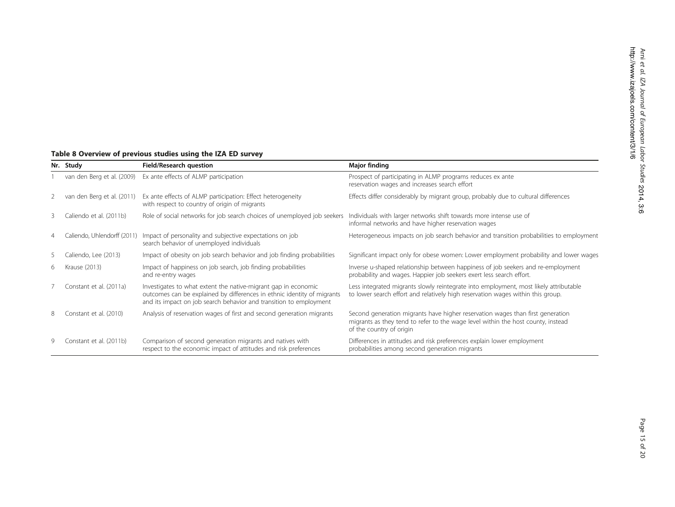## <span id="page-14-0"></span>Table 8 Overview of previous studies using the IZA ED survey

|    | Nr. Study                   | <b>Field/Research question</b>                                                                                                                                                                                  | <b>Major finding</b>                                                                                                                                                                           |
|----|-----------------------------|-----------------------------------------------------------------------------------------------------------------------------------------------------------------------------------------------------------------|------------------------------------------------------------------------------------------------------------------------------------------------------------------------------------------------|
|    | van den Berg et al. (2009)  | Ex ante effects of ALMP participation                                                                                                                                                                           | Prospect of participating in ALMP programs reduces ex ante<br>reservation wages and increases search effort                                                                                    |
|    | van den Berg et al. (2011)  | Ex ante effects of ALMP participation: Effect heterogeneity<br>with respect to country of origin of migrants                                                                                                    | Effects differ considerably by migrant group, probably due to cultural differences                                                                                                             |
| 3  | Caliendo et al. (2011b)     | Role of social networks for job search choices of unemployed job seekers                                                                                                                                        | Individuals with larger networks shift towards more intense use of<br>informal networks and have higher reservation wages                                                                      |
| 4  | Caliendo, Uhlendorff (2011) | Impact of personality and subjective expectations on job<br>search behavior of unemployed individuals                                                                                                           | Heterogeneous impacts on job search behavior and transition probabilities to employment                                                                                                        |
| 5. | Caliendo, Lee (2013)        | Impact of obesity on job search behavior and job finding probabilities                                                                                                                                          | Significant impact only for obese women: Lower employment probability and lower wages                                                                                                          |
| 6  | Krause (2013)               | Impact of happiness on job search, job finding probabilities<br>and re-entry wages                                                                                                                              | Inverse u-shaped relationship between happiness of job seekers and re-employment<br>probability and wages. Happier job seekers exert less search effort.                                       |
|    | Constant et al. (2011a)     | Investigates to what extent the native-migrant gap in economic<br>outcomes can be explained by differences in ethnic identity of migrants<br>and its impact on job search behavior and transition to employment | Less integrated migrants slowly reintegrate into employment, most likely attributable<br>to lower search effort and relatively high reservation wages within this group.                       |
| 8  | Constant et al. (2010)      | Analysis of reservation wages of first and second generation migrants                                                                                                                                           | Second generation migrants have higher reservation wages than first generation<br>migrants as they tend to refer to the wage level within the host county, instead<br>of the country of origin |
| 9  | Constant et al. (2011b)     | Comparison of second generation migrants and natives with<br>respect to the economic impact of attitudes and risk preferences                                                                                   | Differences in attitudes and risk preferences explain lower employment<br>probabilities among second generation migrants                                                                       |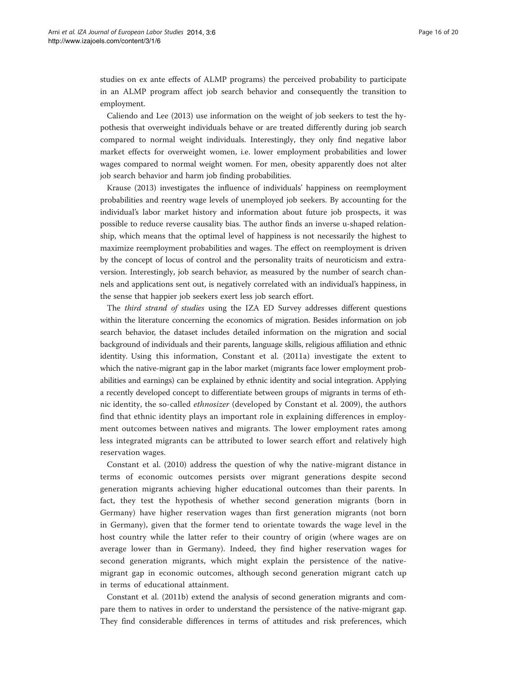studies on ex ante effects of ALMP programs) the perceived probability to participate in an ALMP program affect job search behavior and consequently the transition to employment.

Caliendo and Lee [\(2013\)](#page-18-0) use information on the weight of job seekers to test the hypothesis that overweight individuals behave or are treated differently during job search compared to normal weight individuals. Interestingly, they only find negative labor market effects for overweight women, i.e. lower employment probabilities and lower wages compared to normal weight women. For men, obesity apparently does not alter job search behavior and harm job finding probabilities.

Krause [\(2013\)](#page-19-0) investigates the influence of individuals' happiness on reemployment probabilities and reentry wage levels of unemployed job seekers. By accounting for the individual's labor market history and information about future job prospects, it was possible to reduce reverse causality bias. The author finds an inverse u-shaped relationship, which means that the optimal level of happiness is not necessarily the highest to maximize reemployment probabilities and wages. The effect on reemployment is driven by the concept of locus of control and the personality traits of neuroticism and extraversion. Interestingly, job search behavior, as measured by the number of search channels and applications sent out, is negatively correlated with an individual's happiness, in the sense that happier job seekers exert less job search effort.

The third strand of studies using the IZA ED Survey addresses different questions within the literature concerning the economics of migration. Besides information on job search behavior, the dataset includes detailed information on the migration and social background of individuals and their parents, language skills, religious affiliation and ethnic identity. Using this information, Constant et al. [\(2011a\)](#page-18-0) investigate the extent to which the native-migrant gap in the labor market (migrants face lower employment probabilities and earnings) can be explained by ethnic identity and social integration. Applying a recently developed concept to differentiate between groups of migrants in terms of ethnic identity, the so-called ethnosizer (developed by Constant et al. [2009](#page-18-0)), the authors find that ethnic identity plays an important role in explaining differences in employment outcomes between natives and migrants. The lower employment rates among less integrated migrants can be attributed to lower search effort and relatively high reservation wages.

Constant et al. ([2010](#page-18-0)) address the question of why the native-migrant distance in terms of economic outcomes persists over migrant generations despite second generation migrants achieving higher educational outcomes than their parents. In fact, they test the hypothesis of whether second generation migrants (born in Germany) have higher reservation wages than first generation migrants (not born in Germany), given that the former tend to orientate towards the wage level in the host country while the latter refer to their country of origin (where wages are on average lower than in Germany). Indeed, they find higher reservation wages for second generation migrants, which might explain the persistence of the nativemigrant gap in economic outcomes, although second generation migrant catch up in terms of educational attainment.

Constant et al. [\(2011b](#page-18-0)) extend the analysis of second generation migrants and compare them to natives in order to understand the persistence of the native-migrant gap. They find considerable differences in terms of attitudes and risk preferences, which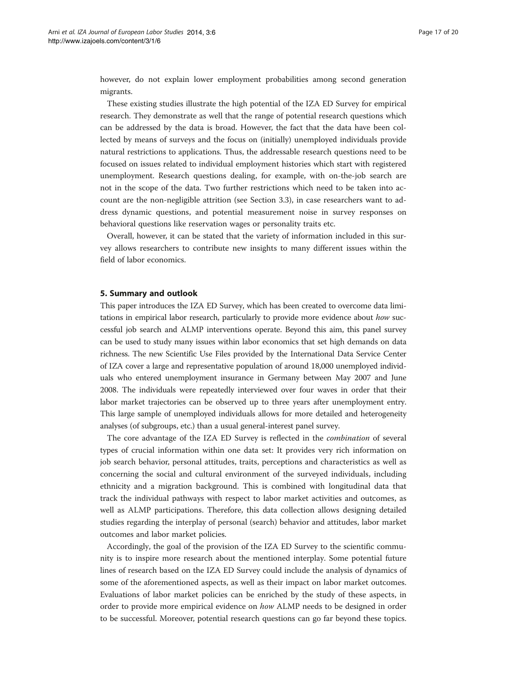<span id="page-16-0"></span>however, do not explain lower employment probabilities among second generation migrants.

These existing studies illustrate the high potential of the IZA ED Survey for empirical research. They demonstrate as well that the range of potential research questions which can be addressed by the data is broad. However, the fact that the data have been collected by means of surveys and the focus on (initially) unemployed individuals provide natural restrictions to applications. Thus, the addressable research questions need to be focused on issues related to individual employment histories which start with registered unemployment. Research questions dealing, for example, with on-the-job search are not in the scope of the data. Two further restrictions which need to be taken into account are the non-negligible attrition (see Section [3.3\)](#page-6-0), in case researchers want to address dynamic questions, and potential measurement noise in survey responses on behavioral questions like reservation wages or personality traits etc.

Overall, however, it can be stated that the variety of information included in this survey allows researchers to contribute new insights to many different issues within the field of labor economics.

## 5. Summary and outlook

This paper introduces the IZA ED Survey, which has been created to overcome data limitations in empirical labor research, particularly to provide more evidence about how successful job search and ALMP interventions operate. Beyond this aim, this panel survey can be used to study many issues within labor economics that set high demands on data richness. The new Scientific Use Files provided by the International Data Service Center of IZA cover a large and representative population of around 18,000 unemployed individuals who entered unemployment insurance in Germany between May 2007 and June 2008. The individuals were repeatedly interviewed over four waves in order that their labor market trajectories can be observed up to three years after unemployment entry. This large sample of unemployed individuals allows for more detailed and heterogeneity analyses (of subgroups, etc.) than a usual general-interest panel survey.

The core advantage of the IZA ED Survey is reflected in the combination of several types of crucial information within one data set: It provides very rich information on job search behavior, personal attitudes, traits, perceptions and characteristics as well as concerning the social and cultural environment of the surveyed individuals, including ethnicity and a migration background. This is combined with longitudinal data that track the individual pathways with respect to labor market activities and outcomes, as well as ALMP participations. Therefore, this data collection allows designing detailed studies regarding the interplay of personal (search) behavior and attitudes, labor market outcomes and labor market policies.

Accordingly, the goal of the provision of the IZA ED Survey to the scientific community is to inspire more research about the mentioned interplay. Some potential future lines of research based on the IZA ED Survey could include the analysis of dynamics of some of the aforementioned aspects, as well as their impact on labor market outcomes. Evaluations of labor market policies can be enriched by the study of these aspects, in order to provide more empirical evidence on how ALMP needs to be designed in order to be successful. Moreover, potential research questions can go far beyond these topics.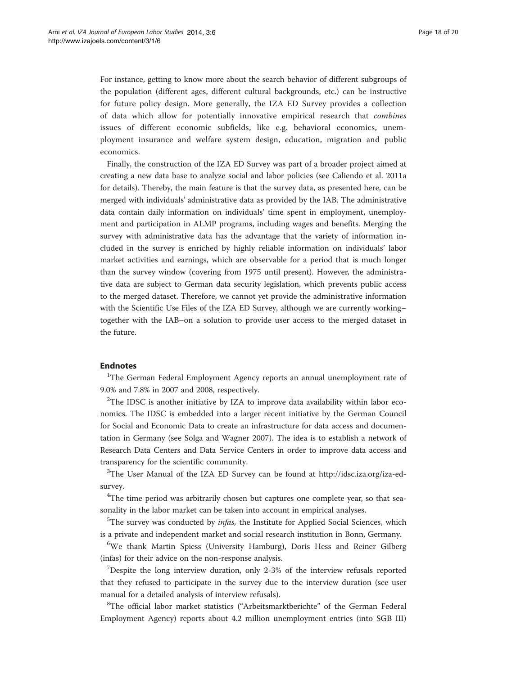For instance, getting to know more about the search behavior of different subgroups of the population (different ages, different cultural backgrounds, etc.) can be instructive for future policy design. More generally, the IZA ED Survey provides a collection of data which allow for potentially innovative empirical research that combines issues of different economic subfields, like e.g. behavioral economics, unemployment insurance and welfare system design, education, migration and public economics.

Finally, the construction of the IZA ED Survey was part of a broader project aimed at creating a new data base to analyze social and labor policies (see Caliendo et al. [2011a](#page-18-0) for details). Thereby, the main feature is that the survey data, as presented here, can be merged with individuals' administrative data as provided by the IAB. The administrative data contain daily information on individuals' time spent in employment, unemployment and participation in ALMP programs, including wages and benefits. Merging the survey with administrative data has the advantage that the variety of information included in the survey is enriched by highly reliable information on individuals' labor market activities and earnings, which are observable for a period that is much longer than the survey window (covering from 1975 until present). However, the administrative data are subject to German data security legislation, which prevents public access to the merged dataset. Therefore, we cannot yet provide the administrative information with the Scientific Use Files of the IZA ED Survey, although we are currently working– together with the IAB–on a solution to provide user access to the merged dataset in the future.

## Endnotes

<sup>1</sup>The German Federal Employment Agency reports an annual unemployment rate of 9.0% and 7.8% in 2007 and 2008, respectively.

 $2$ The IDSC is another initiative by IZA to improve data availability within labor economics. The IDSC is embedded into a larger recent initiative by the German Council for Social and Economic Data to create an infrastructure for data access and documentation in Germany (see Solga and Wagner [2007](#page-19-0)). The idea is to establish a network of Research Data Centers and Data Service Centers in order to improve data access and transparency for the scientific community.

<sup>3</sup>The User Manual of the IZA ED Survey can be found at [http://idsc.iza.org/iza-ed](http://idsc.iza.org/iza-ed-survey)[survey.](http://idsc.iza.org/iza-ed-survey)

<sup>4</sup>The time period was arbitrarily chosen but captures one complete year, so that seasonality in the labor market can be taken into account in empirical analyses.

<sup>5</sup>The survey was conducted by *infas*, the Institute for Applied Social Sciences, which is a private and independent market and social research institution in Bonn, Germany.

<sup>6</sup>We thank Martin Spiess (University Hamburg), Doris Hess and Reiner Gilberg (infas) for their advice on the non-response analysis.

<sup>7</sup>Despite the long interview duration, only 2-3% of the interview refusals reported that they refused to participate in the survey due to the interview duration (see user manual for a detailed analysis of interview refusals).

<sup>8</sup>The official labor market statistics ("Arbeitsmarktberichte" of the German Federal Employment Agency) reports about 4.2 million unemployment entries (into SGB III)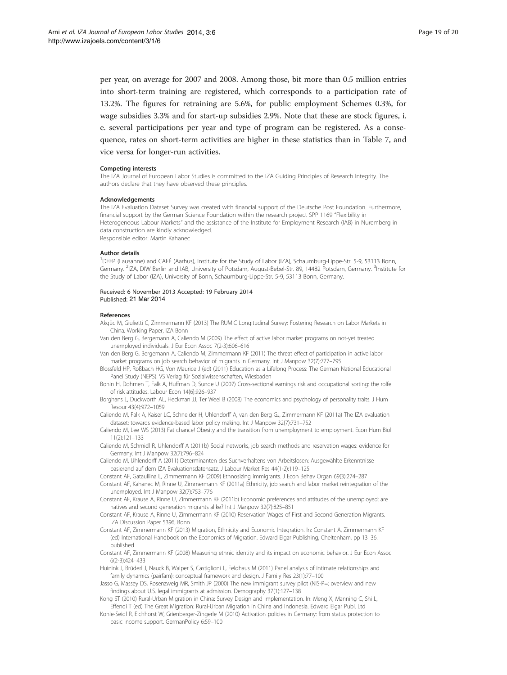<span id="page-18-0"></span>per year, on average for 2007 and 2008. Among those, bit more than 0.5 million entries into short-term training are registered, which corresponds to a participation rate of 13.2%. The figures for retraining are 5.6%, for public employment Schemes 0.3%, for wage subsidies 3.3% and for start-up subsidies 2.9%. Note that these are stock figures, i. e. several participations per year and type of program can be registered. As a consequence, rates on short-term activities are higher in these statistics than in Table [7](#page-12-0), and vice versa for longer-run activities.

#### Competing interests

The IZA Journal of European Labor Studies is committed to the IZA Guiding Principles of Research Integrity. The authors declare that they have observed these principles.

#### Acknowledgements

The IZA Evaluation Dataset Survey was created with financial support of the Deutsche Post Foundation. Furthermore, financial support by the German Science Foundation within the research project SPP 1169 "Flexibility in Heterogeneous Labour Markets" and the assistance of the Institute for Employment Research (IAB) in Nuremberg in data construction are kindly acknowledged. Responsible editor: Martin Kahanec

#### Author details

1 DEEP (Lausanne) and CAFÉ (Aarhus), Institute for the Study of Labor (IZA), Schaumburg-Lippe-Str. 5-9, 53113 Bonn, Germany. <sup>2</sup>IZA, DIW Berlin and IAB, University of Potsdam, August-Bebel-Str. 89, 14482 Potsdam, Germany. <sup>3</sup>Institute for the Study of Labor (IZA), University of Bonn, Schaumburg-Lippe-Str. 5-9, 53113 Bonn, Germany.

#### Received: 6 November 2013 Accepted: 19 February 2014 Published: 21 Mar 2014

#### References

- Akgüc M, Giulietti C, Zimmermann KF (2013) The RUMiC Longitudinal Survey: Fostering Research on Labor Markets in China. Working Paper, IZA Bonn
- Van den Berg G, Bergemann A, Caliendo M (2009) The effect of active labor market programs on not-yet treated unemployed individuals. J Eur Econ Assoc 7(2-3):606–616
- Van den Berg G, Bergemann A, Caliendo M, Zimmermann KF (2011) The threat effect of participation in active labor market programs on job search behavior of migrants in Germany. Int J Manpow 32(7):777–795
- Blossfeld HP, Roßbach HG, Von Maurice J (ed) (2011) Education as a Lifelong Process: The German National Educational Panel Study (NEPS). VS Verlag für Sozialwissenschaften, Wiesbaden
- Bonin H, Dohmen T, Falk A, Huffman D, Sunde U (2007) Cross-sectional earnings risk and occupational sorting: the rolfe of risk attitudes. Labour Econ 14(6):926–937
- Borghans L, Duckworth AL, Heckman JJ, Ter Weel B (2008) The economics and psychology of personality traits. J Hum Resour 43(4):972–1059
- Caliendo M, Falk A, Kaiser LC, Schneider H, Uhlendorff A, van den Berg GJ, Zimmermann KF (2011a) The IZA evaluation dataset: towards evidence-based labor policy making. Int J Manpow 32(7):731–752
- Caliendo M, Lee WS (2013) Fat chance! Obesity and the transition from unemployment to employment. Econ Hum Biol 11(2):121–133
- Caliendo M, Schmidl R, Uhlendorff A (2011b) Social networks, job search methods and reservation wages: evidence for Germany. Int J Manpow 32(7):796–824
- Caliendo M, Uhlendorff A (2011) Determinanten des Suchverhaltens von Arbeitslosen: Ausgewählte Erkenntnisse basierend auf dem IZA Evaluationsdatensatz. J Labour Market Res 44(1-2):119–125
- Constant AF, Gataullina L, Zimmermann KF (2009) Ethnosizing immigrants. J Econ Behav Organ 69(3):274–287
- Constant AF, Kahanec M, Rinne U, Zimmermann KF (2011a) Ethnicity, job search and labor market reintegration of the unemployed. Int J Manpow 32(7):753–776
- Constant AF, Krause A, Rinne U, Zimmermann KF (2011b) Economic preferences and attitudes of the unemployed: are natives and second generation migrants alike? Int J Manpow 32(7):825–851
- Constant AF, Krause A, Rinne U, Zimmermann KF (2010) Reservation Wages of First and Second Generation Migrants. IZA Discussion Paper 5396, Bonn
- Constant AF, Zimmermann KF (2013) Migration, Ethnicity and Economic Integration. In: Constant A, Zimmermann KF (ed) International Handbook on the Economics of Migration. Edward Elgar Publishing, Cheltenham, pp 13–36. published
- Constant AF, Zimmermann KF (2008) Measuring ethnic identity and its impact on economic behavior. J Eur Econ Assoc 6(2-3):424–433
- Huinink J, Brüderl J, Nauck B, Walper S, Castiglioni L, Feldhaus M (2011) Panel analysis of intimate relationships and family dynamics (pairfam): conceptual framework and design. J Family Res 23(1):77–100
- Jasso G, Massey DS, Rosenzweig MR, Smith JP (2000) The new immigrant survey pilot (NIS-P=: overview and new findings about U.S. legal immigrants at admission. Demography 37(1):127–138
- Kong ST (2010) Rural-Urban Migration in China: Survey Design and Implementation. In: Meng X, Manning C, Shi L, Effendi T (ed) The Great Migration: Rural-Urban Migration in China and Indonesia. Edward Elgar Publ. Ltd
- Konle-Seidl R, Eichhorst W, Grienberger-Zingerle M (2010) Activation policies in Germany: from status protection to basic income support. GermanPolicy 6:59–100